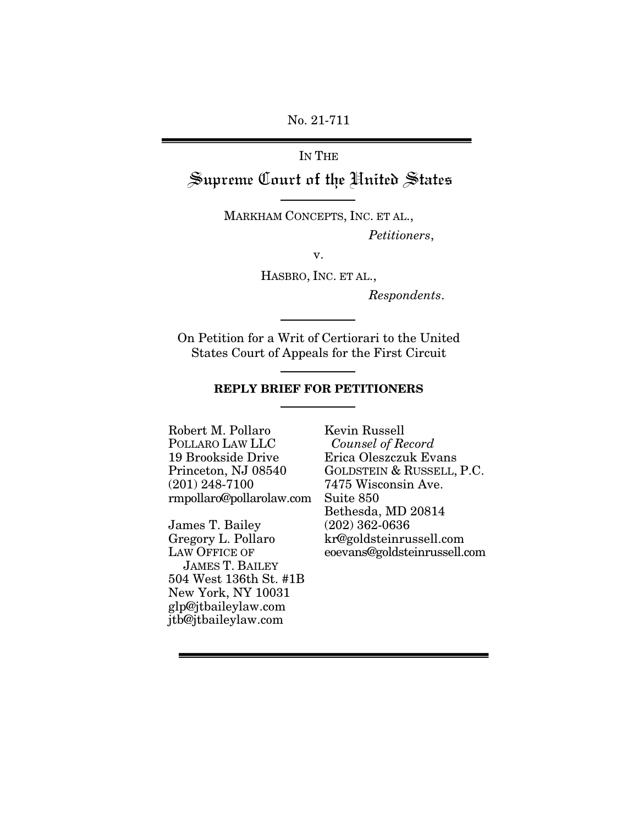No. 21-711

# IN THE Supreme Court of the United States

MARKHAM CONCEPTS, INC. ET AL., Petitioners,

v.

HASBRO, INC. ET AL.,

Respondents.

On Petition for a Writ of Certiorari to the United States Court of Appeals for the First Circuit

#### **REPLY BRIEF FOR PETITIONERS**

Robert M. Pollaro POLLARO LAW LLC 19 Brookside Drive Princeton, NJ 08540 (201) 248-7100 rmpollaro@pollarolaw.com

James T. Bailey Gregory L. Pollaro LAW OFFICE OF JAMES T. BAILEY 504 West 136th St. #1B New York, NY 10031 glp@jtbaileylaw.com jtb@jtbaileylaw.com

Kevin Russell Counsel of Record Erica Oleszczuk Evans GOLDSTEIN & RUSSELL, P.C. 7475 Wisconsin Ave. Suite 850 Bethesda, MD 20814 (202) 362-0636 kr@goldsteinrussell.com eoevans@goldsteinrussell.com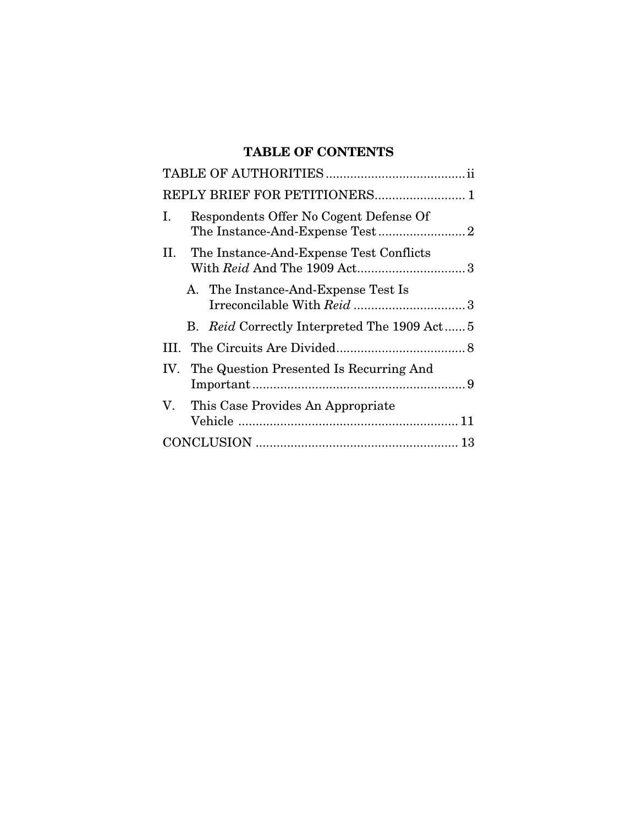# **TABLE OF CONTENTS**

| REPLY BRIEF FOR PETITIONERS 1                 |
|-----------------------------------------------|
| Respondents Offer No Cogent Defense Of<br>Ι.  |
| П.<br>The Instance-And-Expense Test Conflicts |
| A. The Instance-And-Expense Test Is           |
| B. Reid Correctly Interpreted The 1909 Act 5  |
|                                               |
| IV. The Question Presented Is Recurring And   |
| This Case Provides An Appropriate<br>V.       |
|                                               |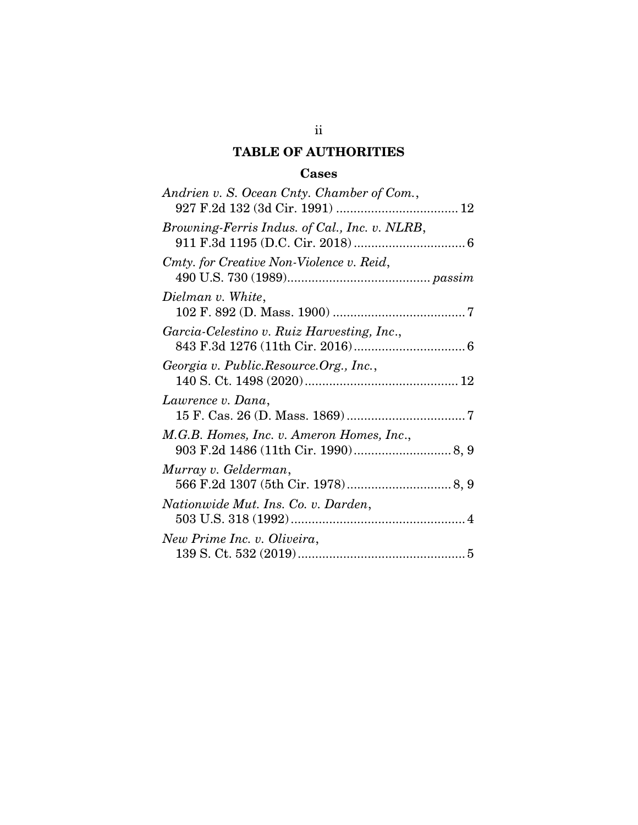# **TABLE OF AUTHORITIES**

# **Cases**

| Andrien v. S. Ocean Cnty. Chamber of Com.,    |
|-----------------------------------------------|
| Browning-Ferris Indus. of Cal., Inc. v. NLRB, |
| Cmty. for Creative Non-Violence v. Reid,      |
| Dielman v. White,                             |
| Garcia-Celestino v. Ruiz Harvesting, Inc.,    |
| Georgia v. Public.Resource.Org., Inc.,        |
| Lawrence v. Dana,                             |
| M.G.B. Homes, Inc. v. Ameron Homes, Inc.,     |
| Murray v. Gelderman,                          |
| Nationwide Mut. Ins. Co. v. Darden,           |
| New Prime Inc. v. Oliveira,                   |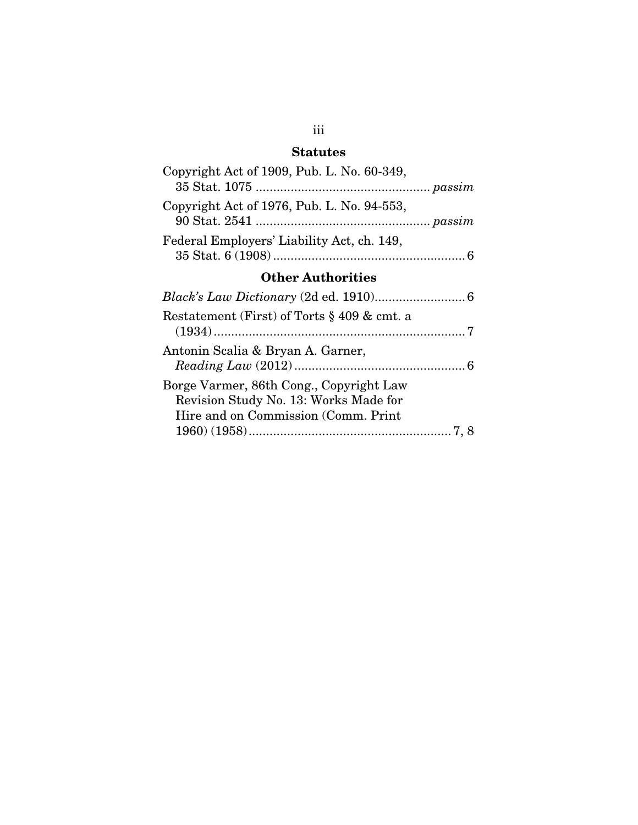# **Statutes**

| Copyright Act of 1909, Pub. L. No. 60-349,             |  |  |
|--------------------------------------------------------|--|--|
| Copyright Act of 1976, Pub. L. No. 94-553,             |  |  |
| Federal Employers' Liability Act, ch. 149,             |  |  |
| <b>Other Authorities</b>                               |  |  |
|                                                        |  |  |
| Restatement (First) of Torts $\S 409 \& \text{cmt. a}$ |  |  |
|                                                        |  |  |

| Antonin Scalia & Bryan A. Garner,       |  |
|-----------------------------------------|--|
| Borge Varmer, 86th Cong., Copyright Law |  |
| Revision Study No. 13: Works Made for   |  |
| Hire and on Commission (Comm. Print)    |  |
|                                         |  |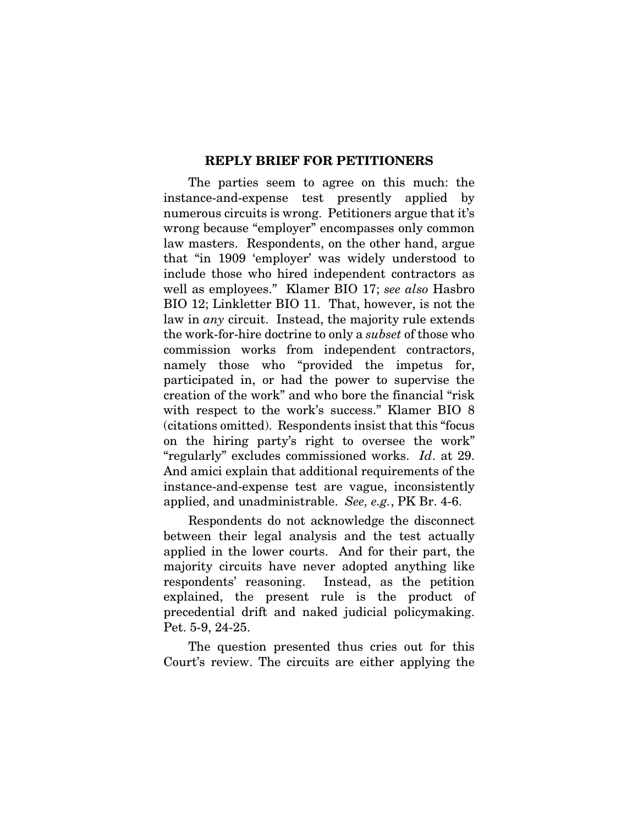#### **REPLY BRIEF FOR PETITIONERS**

The parties seem to agree on this much: the instance-and-expense test presently applied by numerous circuits is wrong. Petitioners argue that it's wrong because "employer" encompasses only common law masters. Respondents, on the other hand, argue that "in 1909 'employer' was widely understood to include those who hired independent contractors as well as employees." Klamer BIO 17; see also Hasbro BIO 12; Linkletter BIO 11. That, however, is not the law in any circuit. Instead, the majority rule extends the work-for-hire doctrine to only a subset of those who commission works from independent contractors, namely those who "provided the impetus for, participated in, or had the power to supervise the creation of the work" and who bore the financial "risk with respect to the work's success." Klamer BIO 8 (citations omitted). Respondents insist that this "focus on the hiring party's right to oversee the work" "regularly" excludes commissioned works. Id. at 29. And amici explain that additional requirements of the instance-and-expense test are vague, inconsistently applied, and unadministrable. See, e.g., PK Br. 4-6.

Respondents do not acknowledge the disconnect between their legal analysis and the test actually applied in the lower courts. And for their part, the majority circuits have never adopted anything like respondents' reasoning. Instead, as the petition explained, the present rule is the product of precedential drift and naked judicial policymaking. Pet. 5-9, 24-25.

The question presented thus cries out for this Court's review. The circuits are either applying the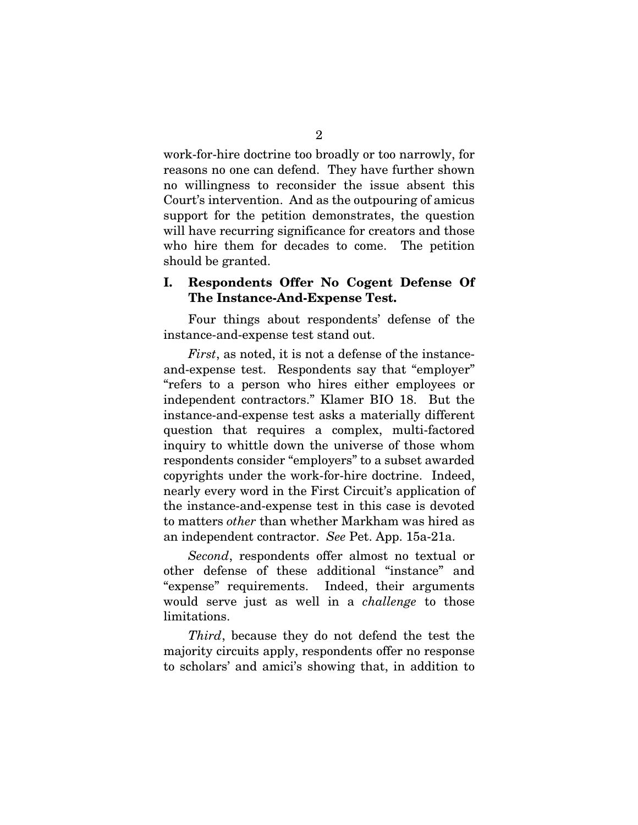work-for-hire doctrine too broadly or too narrowly, for reasons no one can defend. They have further shown no willingness to reconsider the issue absent this Court's intervention. And as the outpouring of amicus support for the petition demonstrates, the question will have recurring significance for creators and those who hire them for decades to come. The petition should be granted.

### **I. Respondents Offer No Cogent Defense Of The Instance-And-Expense Test.**

Four things about respondents' defense of the instance-and-expense test stand out.

First, as noted, it is not a defense of the instanceand-expense test. Respondents say that "employer" "refers to a person who hires either employees or independent contractors." Klamer BIO 18. But the instance-and-expense test asks a materially different question that requires a complex, multi-factored inquiry to whittle down the universe of those whom respondents consider "employers" to a subset awarded copyrights under the work-for-hire doctrine. Indeed, nearly every word in the First Circuit's application of the instance-and-expense test in this case is devoted to matters other than whether Markham was hired as an independent contractor. See Pet. App. 15a-21a.

Second, respondents offer almost no textual or other defense of these additional "instance" and "expense" requirements. Indeed, their arguments would serve just as well in a challenge to those limitations.

Third, because they do not defend the test the majority circuits apply, respondents offer no response to scholars' and amici's showing that, in addition to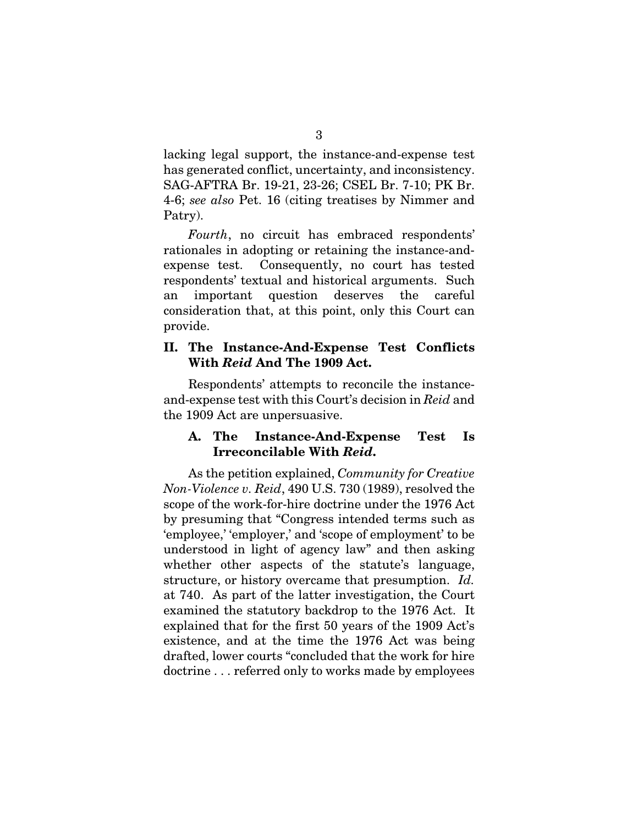lacking legal support, the instance-and-expense test has generated conflict, uncertainty, and inconsistency. SAG-AFTRA Br. 19-21, 23-26; CSEL Br. 7-10; PK Br. 4-6; see also Pet. 16 (citing treatises by Nimmer and Patry).

Fourth, no circuit has embraced respondents' rationales in adopting or retaining the instance-andexpense test. Consequently, no court has tested respondents' textual and historical arguments. Such an important question deserves the careful consideration that, at this point, only this Court can provide.

### **II. The Instance-And-Expense Test Conflicts With** *Reid* **And The 1909 Act.**

Respondents' attempts to reconcile the instanceand-expense test with this Court's decision in Reid and the 1909 Act are unpersuasive.

# **A. The Instance-And-Expense Test Is Irreconcilable With** *Reid***.**

As the petition explained, Community for Creative Non-Violence v. Reid, 490 U.S. 730 (1989), resolved the scope of the work-for-hire doctrine under the 1976 Act by presuming that "Congress intended terms such as 'employee,' 'employer,' and 'scope of employment' to be understood in light of agency law" and then asking whether other aspects of the statute's language, structure, or history overcame that presumption. Id. at 740. As part of the latter investigation, the Court examined the statutory backdrop to the 1976 Act. It explained that for the first 50 years of the 1909 Act's existence, and at the time the 1976 Act was being drafted, lower courts "concluded that the work for hire doctrine . . . referred only to works made by employees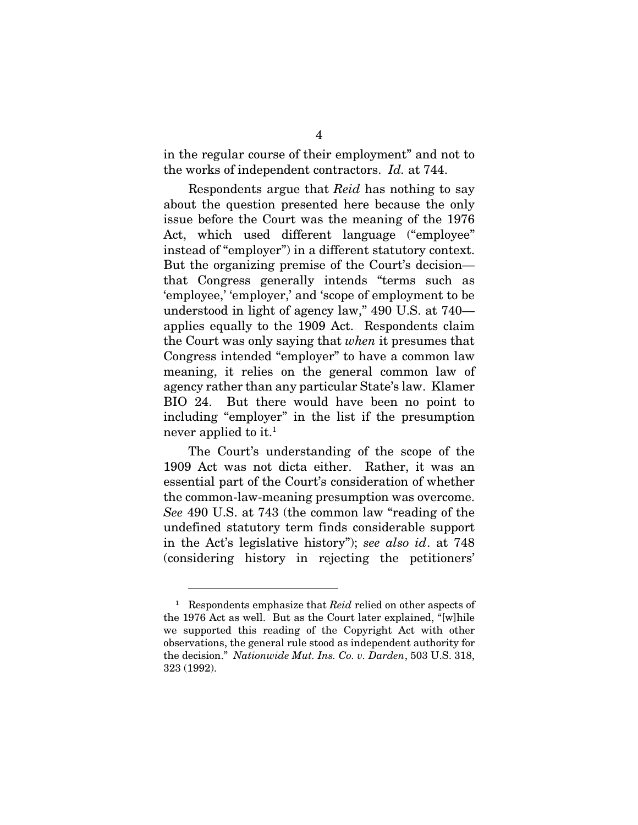in the regular course of their employment" and not to the works of independent contractors. Id. at 744.

Respondents argue that Reid has nothing to say about the question presented here because the only issue before the Court was the meaning of the 1976 Act, which used different language ("employee" instead of "employer") in a different statutory context. But the organizing premise of the Court's decision that Congress generally intends "terms such as 'employee,' 'employer,' and 'scope of employment to be understood in light of agency law," 490 U.S. at 740 applies equally to the 1909 Act. Respondents claim the Court was only saying that when it presumes that Congress intended "employer" to have a common law meaning, it relies on the general common law of agency rather than any particular State's law. Klamer BIO 24. But there would have been no point to including "employer" in the list if the presumption never applied to it.<sup>1</sup>

The Court's understanding of the scope of the 1909 Act was not dicta either. Rather, it was an essential part of the Court's consideration of whether the common-law-meaning presumption was overcome. See 490 U.S. at 743 (the common law "reading of the undefined statutory term finds considerable support in the Act's legislative history"); see also id. at 748 (considering history in rejecting the petitioners'

<sup>1</sup> Respondents emphasize that Reid relied on other aspects of the 1976 Act as well. But as the Court later explained, "[w]hile we supported this reading of the Copyright Act with other observations, the general rule stood as independent authority for the decision." Nationwide Mut. Ins. Co. v. Darden, 503 U.S. 318, 323 (1992).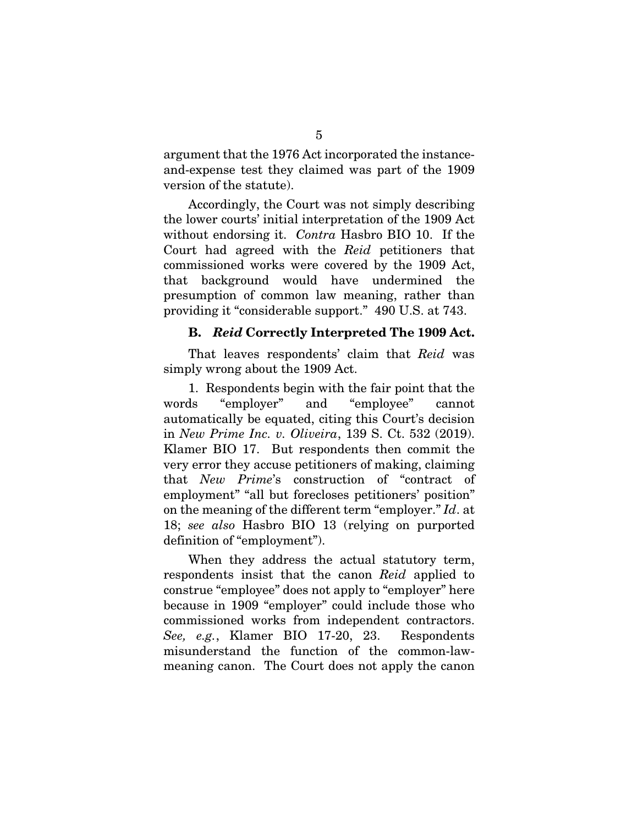argument that the 1976 Act incorporated the instanceand-expense test they claimed was part of the 1909 version of the statute).

Accordingly, the Court was not simply describing the lower courts' initial interpretation of the 1909 Act without endorsing it. Contra Hasbro BIO 10. If the Court had agreed with the Reid petitioners that commissioned works were covered by the 1909 Act, that background would have undermined the presumption of common law meaning, rather than providing it "considerable support." 490 U.S. at 743.

### **B.** *Reid* **Correctly Interpreted The 1909 Act.**

That leaves respondents' claim that Reid was simply wrong about the 1909 Act.

1. Respondents begin with the fair point that the words "employer" and "employee" cannot automatically be equated, citing this Court's decision in New Prime Inc. v. Oliveira, 139 S. Ct. 532 (2019). Klamer BIO 17. But respondents then commit the very error they accuse petitioners of making, claiming that New Prime's construction of "contract of employment" "all but forecloses petitioners' position" on the meaning of the different term "employer." Id. at 18; see also Hasbro BIO 13 (relying on purported definition of "employment").

When they address the actual statutory term, respondents insist that the canon Reid applied to construe "employee" does not apply to "employer" here because in 1909 "employer" could include those who commissioned works from independent contractors. See, e.g., Klamer BIO 17-20, 23. Respondents misunderstand the function of the common-lawmeaning canon. The Court does not apply the canon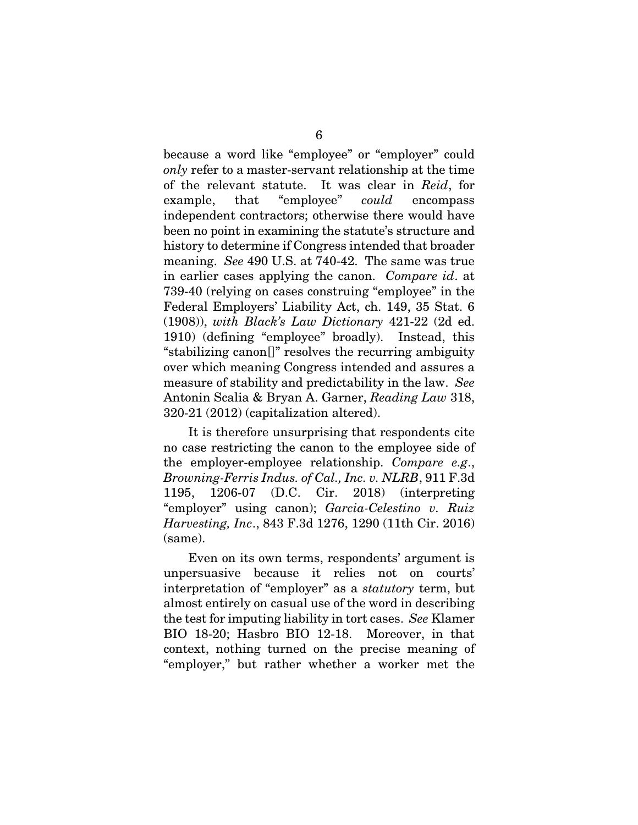because a word like "employee" or "employer" could only refer to a master-servant relationship at the time of the relevant statute. It was clear in Reid, for example, that "employee" *could* encompass independent contractors; otherwise there would have been no point in examining the statute's structure and history to determine if Congress intended that broader meaning. See 490 U.S. at 740-42. The same was true in earlier cases applying the canon. Compare id. at 739-40 (relying on cases construing "employee" in the Federal Employers' Liability Act, ch. 149, 35 Stat. 6 (1908)), with Black's Law Dictionary 421-22 (2d ed. 1910) (defining "employee" broadly). Instead, this "stabilizing canon[]" resolves the recurring ambiguity over which meaning Congress intended and assures a measure of stability and predictability in the law. See Antonin Scalia & Bryan A. Garner, Reading Law 318, 320-21 (2012) (capitalization altered).

It is therefore unsurprising that respondents cite no case restricting the canon to the employee side of the employer-employee relationship. Compare e.g., Browning-Ferris Indus. of Cal., Inc. v. NLRB, 911 F.3d 1195, 1206-07 (D.C. Cir. 2018) (interpreting "employer" using canon); Garcia-Celestino v. Ruiz Harvesting, Inc., 843 F.3d 1276, 1290 (11th Cir. 2016) (same).

Even on its own terms, respondents' argument is unpersuasive because it relies not on courts' interpretation of "employer" as a statutory term, but almost entirely on casual use of the word in describing the test for imputing liability in tort cases. See Klamer BIO 18-20; Hasbro BIO 12-18. Moreover, in that context, nothing turned on the precise meaning of "employer," but rather whether a worker met the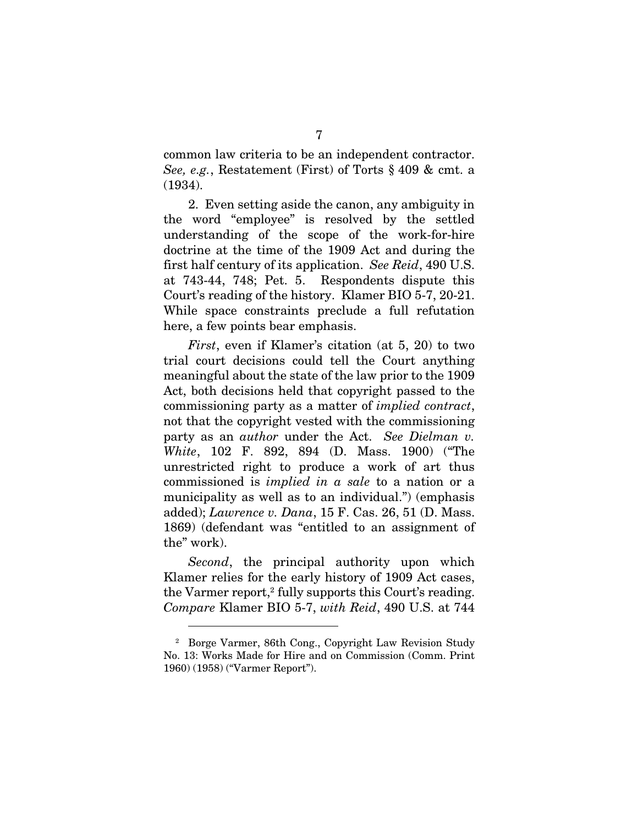common law criteria to be an independent contractor. See, e.g., Restatement (First) of Torts § 409 & cmt. a (1934).

2. Even setting aside the canon, any ambiguity in the word "employee" is resolved by the settled understanding of the scope of the work-for-hire doctrine at the time of the 1909 Act and during the first half century of its application. See Reid, 490 U.S. at 743-44, 748; Pet. 5. Respondents dispute this Court's reading of the history. Klamer BIO 5-7, 20-21. While space constraints preclude a full refutation here, a few points bear emphasis.

First, even if Klamer's citation (at 5, 20) to two trial court decisions could tell the Court anything meaningful about the state of the law prior to the 1909 Act, both decisions held that copyright passed to the commissioning party as a matter of implied contract, not that the copyright vested with the commissioning party as an *author* under the Act. See Dielman v. White, 102 F. 892, 894 (D. Mass. 1900) ("The unrestricted right to produce a work of art thus commissioned is implied in a sale to a nation or a municipality as well as to an individual.") (emphasis added); Lawrence v. Dana, 15 F. Cas. 26, 51 (D. Mass. 1869) (defendant was "entitled to an assignment of the" work).

Second, the principal authority upon which Klamer relies for the early history of 1909 Act cases, the Varmer report,<sup>2</sup> fully supports this Court's reading. Compare Klamer BIO 5-7, with Reid, 490 U.S. at 744

<sup>&</sup>lt;sup>2</sup> Borge Varmer, 86th Cong., Copyright Law Revision Study No. 13: Works Made for Hire and on Commission (Comm. Print 1960) (1958) ("Varmer Report").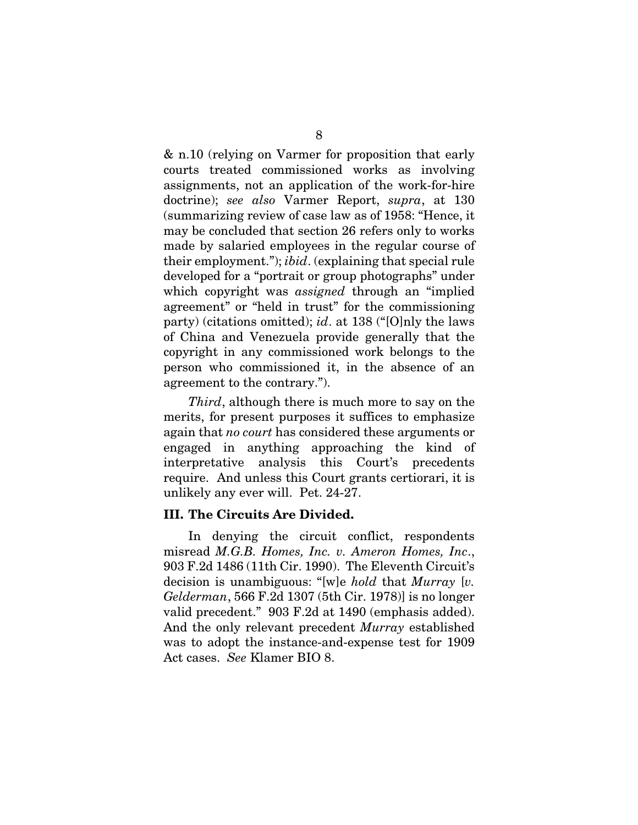& n.10 (relying on Varmer for proposition that early courts treated commissioned works as involving assignments, not an application of the work-for-hire doctrine); see also Varmer Report, supra, at 130 (summarizing review of case law as of 1958: "Hence, it may be concluded that section 26 refers only to works made by salaried employees in the regular course of their employment."); ibid. (explaining that special rule developed for a "portrait or group photographs" under which copyright was *assigned* through an "implied" agreement" or "held in trust" for the commissioning party) (citations omitted); *id.* at 138 ("[O]nly the laws of China and Venezuela provide generally that the copyright in any commissioned work belongs to the person who commissioned it, in the absence of an agreement to the contrary.").

Third, although there is much more to say on the merits, for present purposes it suffices to emphasize again that no court has considered these arguments or engaged in anything approaching the kind of interpretative analysis this Court's precedents require. And unless this Court grants certiorari, it is unlikely any ever will. Pet. 24-27.

### **III. The Circuits Are Divided.**

In denying the circuit conflict, respondents misread M.G.B. Homes, Inc. v. Ameron Homes, Inc., 903 F.2d 1486 (11th Cir. 1990). The Eleventh Circuit's decision is unambiguous: "[w]e hold that Murray [v. Gelderman, 566 F.2d 1307 (5th Cir. 1978)] is no longer valid precedent." 903 F.2d at 1490 (emphasis added). And the only relevant precedent Murray established was to adopt the instance-and-expense test for 1909 Act cases. See Klamer BIO 8.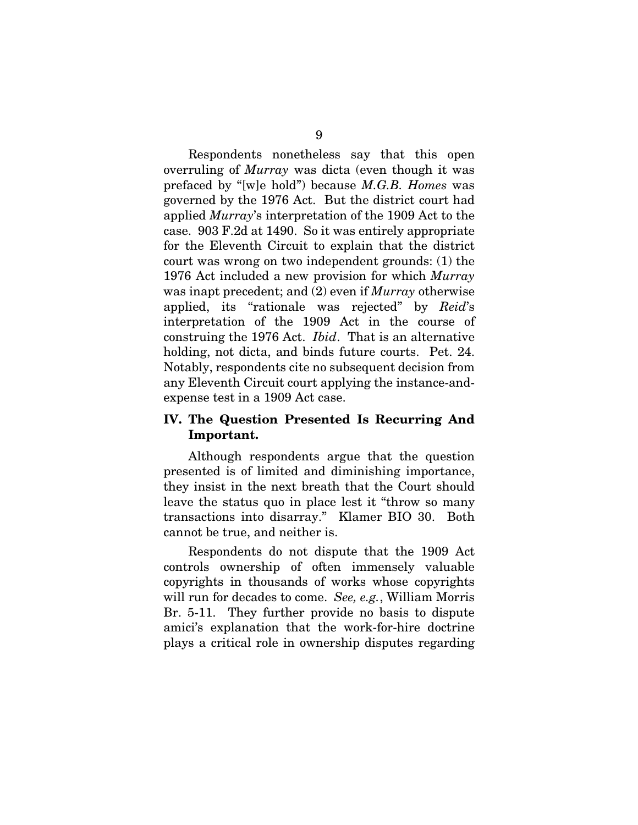Respondents nonetheless say that this open overruling of Murray was dicta (even though it was prefaced by "[w]e hold") because M.G.B. Homes was governed by the 1976 Act. But the district court had applied Murray's interpretation of the 1909 Act to the case. 903 F.2d at 1490. So it was entirely appropriate for the Eleventh Circuit to explain that the district court was wrong on two independent grounds: (1) the 1976 Act included a new provision for which Murray was inapt precedent; and (2) even if *Murray* otherwise applied, its "rationale was rejected" by Reid's interpretation of the 1909 Act in the course of construing the 1976 Act. Ibid. That is an alternative holding, not dicta, and binds future courts. Pet. 24. Notably, respondents cite no subsequent decision from any Eleventh Circuit court applying the instance-andexpense test in a 1909 Act case.

### **IV. The Question Presented Is Recurring And Important.**

Although respondents argue that the question presented is of limited and diminishing importance, they insist in the next breath that the Court should leave the status quo in place lest it "throw so many transactions into disarray." Klamer BIO 30. Both cannot be true, and neither is.

Respondents do not dispute that the 1909 Act controls ownership of often immensely valuable copyrights in thousands of works whose copyrights will run for decades to come. See, e.g., William Morris Br. 5-11. They further provide no basis to dispute amici's explanation that the work-for-hire doctrine plays a critical role in ownership disputes regarding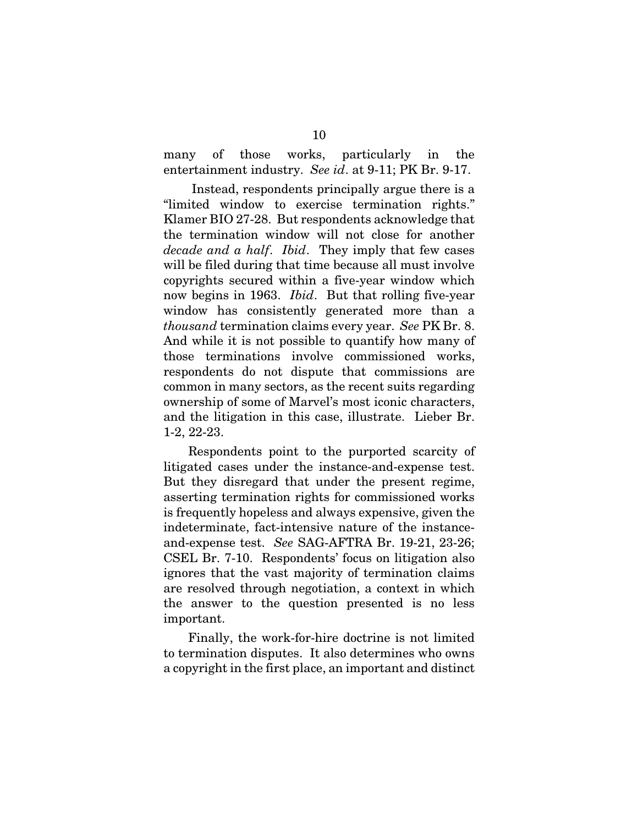many of those works, particularly in the entertainment industry. See id. at 9-11; PK Br. 9-17.

 Instead, respondents principally argue there is a "limited window to exercise termination rights." Klamer BIO 27-28. But respondents acknowledge that the termination window will not close for another decade and a half. Ibid. They imply that few cases will be filed during that time because all must involve copyrights secured within a five-year window which now begins in 1963. *Ibid*. But that rolling five-year window has consistently generated more than a thousand termination claims every year. See PK Br. 8. And while it is not possible to quantify how many of those terminations involve commissioned works, respondents do not dispute that commissions are common in many sectors, as the recent suits regarding ownership of some of Marvel's most iconic characters, and the litigation in this case, illustrate. Lieber Br. 1-2, 22-23.

Respondents point to the purported scarcity of litigated cases under the instance-and-expense test. But they disregard that under the present regime, asserting termination rights for commissioned works is frequently hopeless and always expensive, given the indeterminate, fact-intensive nature of the instanceand-expense test. See SAG-AFTRA Br. 19-21, 23-26; CSEL Br. 7-10. Respondents' focus on litigation also ignores that the vast majority of termination claims are resolved through negotiation, a context in which the answer to the question presented is no less important.

Finally, the work-for-hire doctrine is not limited to termination disputes. It also determines who owns a copyright in the first place, an important and distinct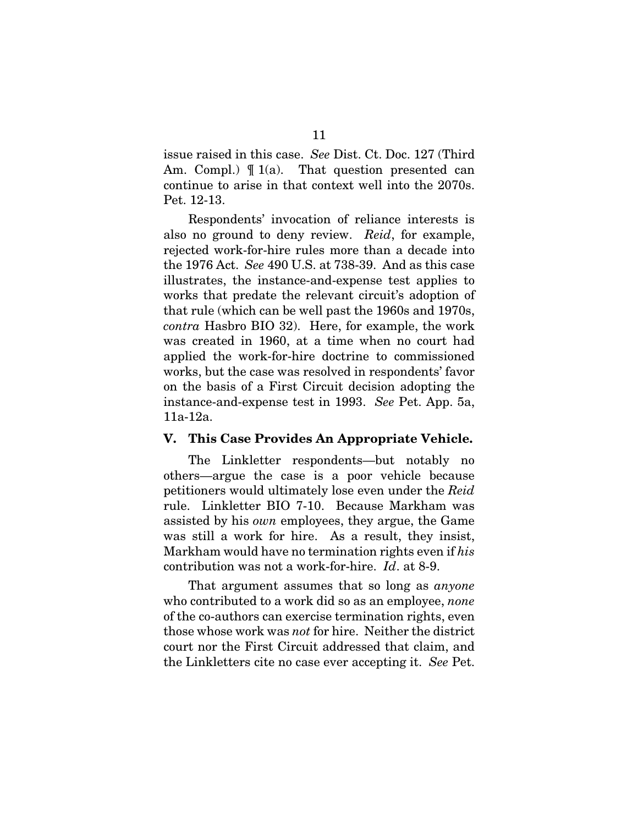issue raised in this case. See Dist. Ct. Doc. 127 (Third Am. Compl.)  $\P$  1(a). That question presented can continue to arise in that context well into the 2070s. Pet. 12-13.

Respondents' invocation of reliance interests is also no ground to deny review. Reid, for example, rejected work-for-hire rules more than a decade into the 1976 Act. See 490 U.S. at 738-39. And as this case illustrates, the instance-and-expense test applies to works that predate the relevant circuit's adoption of that rule (which can be well past the 1960s and 1970s, contra Hasbro BIO 32). Here, for example, the work was created in 1960, at a time when no court had applied the work-for-hire doctrine to commissioned works, but the case was resolved in respondents' favor on the basis of a First Circuit decision adopting the instance-and-expense test in 1993. See Pet. App. 5a, 11a-12a.

### **V. This Case Provides An Appropriate Vehicle.**

The Linkletter respondents—but notably no others—argue the case is a poor vehicle because petitioners would ultimately lose even under the Reid rule. Linkletter BIO 7-10. Because Markham was assisted by his own employees, they argue, the Game was still a work for hire. As a result, they insist, Markham would have no termination rights even if his contribution was not a work-for-hire. Id. at 8-9.

That argument assumes that so long as *anyone* who contributed to a work did so as an employee, *none* of the co-authors can exercise termination rights, even those whose work was not for hire. Neither the district court nor the First Circuit addressed that claim, and the Linkletters cite no case ever accepting it. See Pet.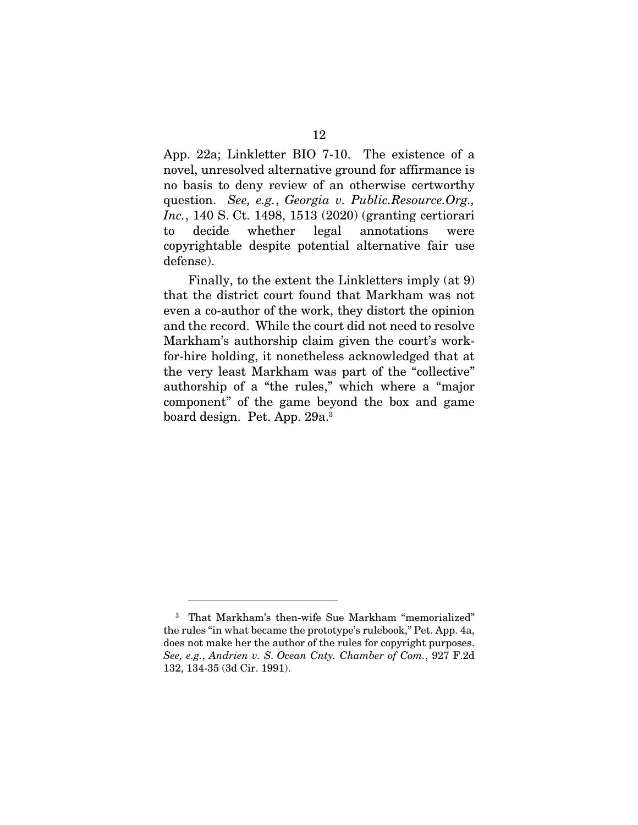App. 22a; Linkletter BIO 7-10. The existence of a novel, unresolved alternative ground for affirmance is no basis to deny review of an otherwise certworthy question. See, e.g., Georgia v. Public.Resource.Org., Inc., 140 S. Ct. 1498, 1513 (2020) (granting certiorari to decide whether legal annotations were copyrightable despite potential alternative fair use defense).

Finally, to the extent the Linkletters imply (at 9) that the district court found that Markham was not even a co-author of the work, they distort the opinion and the record. While the court did not need to resolve Markham's authorship claim given the court's workfor-hire holding, it nonetheless acknowledged that at the very least Markham was part of the "collective" authorship of a "the rules," which where a "major component" of the game beyond the box and game board design. Pet. App. 29a.3

<sup>3</sup> That Markham's then-wife Sue Markham "memorialized" the rules "in what became the prototype's rulebook," Pet. App. 4a, does not make her the author of the rules for copyright purposes. See, e.g., Andrien v. S. Ocean Cnty. Chamber of Com., 927 F.2d 132, 134-35 (3d Cir. 1991).